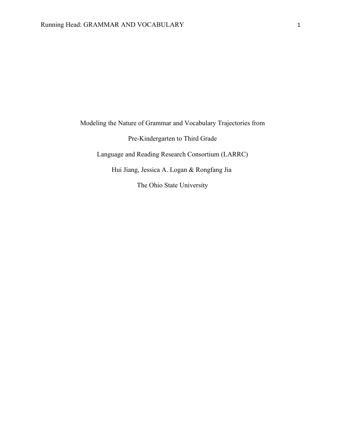Modeling the Nature of Grammar and Vocabulary Trajectories from Pre-Kindergarten to Third Grade Language and Reading Research Consortium (LARRC) Hui Jiang, Jessica A. Logan & Rongfang Jia

The Ohio State University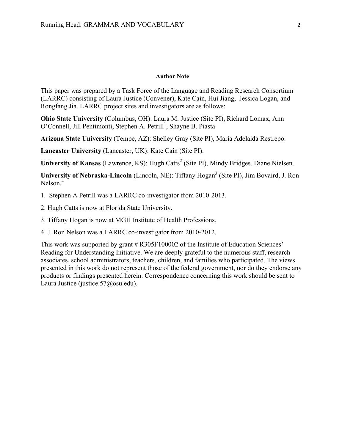#### **Author Note**

This paper was prepared by a Task Force of the Language and Reading Research Consortium (LARRC) consisting of Laura Justice (Convener), Kate Cain, Hui Jiang, Jessica Logan, and Rongfang Jia. LARRC project sites and investigators are as follows:

**Ohio State University** (Columbus, OH): Laura M. Justice (Site PI), Richard Lomax, Ann O'Connell, Jill Pentimonti, Stephen A. Petrill<sup>1</sup>, Shayne B. Piasta

**Arizona State University** (Tempe, AZ): Shelley Gray (Site PI), Maria Adelaida Restrepo.

**Lancaster University** (Lancaster, UK): Kate Cain (Site PI).

**University of Kansas** (Lawrence, KS): Hugh Catts<sup>2</sup> (Site PI), Mindy Bridges, Diane Nielsen.

**University of Nebraska-Lincoln** (Lincoln, NE): Tiffany Hogan<sup>3</sup> (Site PI), Jim Bovaird, J. Ron Nelson.<sup>4</sup>

1. Stephen A Petrill was a LARRC co-investigator from 2010-2013.

- 2. Hugh Catts is now at Florida State University.
- 3. Tiffany Hogan is now at MGH Institute of Health Professions.
- 4. J. Ron Nelson was a LARRC co-investigator from 2010-2012.

This work was supported by grant # R305F100002 of the Institute of Education Sciences' Reading for Understanding Initiative. We are deeply grateful to the numerous staff, research associates, school administrators, teachers, children, and families who participated. The views presented in this work do not represent those of the federal government, nor do they endorse any products or findings presented herein. Correspondence concerning this work should be sent to Laura Justice (justice.57@osu.edu).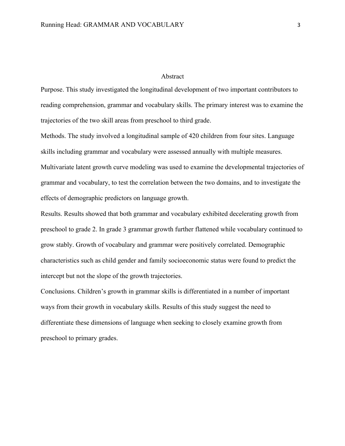## Abstract

Purpose. This study investigated the longitudinal development of two important contributors to reading comprehension, grammar and vocabulary skills. The primary interest was to examine the trajectories of the two skill areas from preschool to third grade.

Methods. The study involved a longitudinal sample of 420 children from four sites. Language skills including grammar and vocabulary were assessed annually with multiple measures. Multivariate latent growth curve modeling was used to examine the developmental trajectories of grammar and vocabulary, to test the correlation between the two domains, and to investigate the effects of demographic predictors on language growth.

Results. Results showed that both grammar and vocabulary exhibited decelerating growth from preschool to grade 2. In grade 3 grammar growth further flattened while vocabulary continued to grow stably. Growth of vocabulary and grammar were positively correlated. Demographic characteristics such as child gender and family socioeconomic status were found to predict the intercept but not the slope of the growth trajectories.

Conclusions. Children's growth in grammar skills is differentiated in a number of important ways from their growth in vocabulary skills. Results of this study suggest the need to differentiate these dimensions of language when seeking to closely examine growth from preschool to primary grades.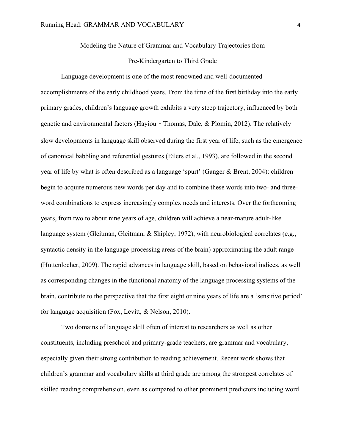## Modeling the Nature of Grammar and Vocabulary Trajectories from

## Pre-Kindergarten to Third Grade

Language development is one of the most renowned and well-documented accomplishments of the early childhood years. From the time of the first birthday into the early primary grades, children's language growth exhibits a very steep trajectory, influenced by both genetic and environmental factors (Hayiou - Thomas, Dale, & Plomin, 2012). The relatively slow developments in language skill observed during the first year of life, such as the emergence of canonical babbling and referential gestures (Eilers et al., 1993), are followed in the second year of life by what is often described as a language 'spurt' (Ganger & Brent, 2004): children begin to acquire numerous new words per day and to combine these words into two- and threeword combinations to express increasingly complex needs and interests. Over the forthcoming years, from two to about nine years of age, children will achieve a near-mature adult-like language system (Gleitman, Gleitman, & Shipley, 1972), with neurobiological correlates (e.g., syntactic density in the language-processing areas of the brain) approximating the adult range (Huttenlocher, 2009). The rapid advances in language skill, based on behavioral indices, as well as corresponding changes in the functional anatomy of the language processing systems of the brain, contribute to the perspective that the first eight or nine years of life are a 'sensitive period' for language acquisition (Fox, Levitt, & Nelson, 2010).

Two domains of language skill often of interest to researchers as well as other constituents, including preschool and primary-grade teachers, are grammar and vocabulary, especially given their strong contribution to reading achievement. Recent work shows that children's grammar and vocabulary skills at third grade are among the strongest correlates of skilled reading comprehension, even as compared to other prominent predictors including word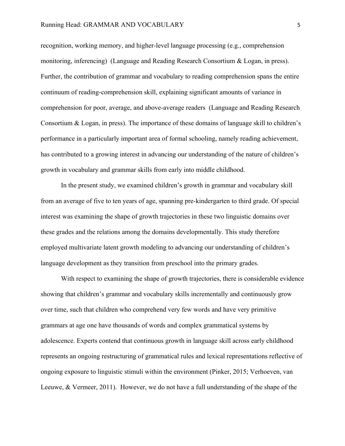recognition, working memory, and higher-level language processing (e.g., comprehension monitoring, inferencing) (Language and Reading Research Consortium & Logan, in press). Further, the contribution of grammar and vocabulary to reading comprehension spans the entire continuum of reading-comprehension skill, explaining significant amounts of variance in comprehension for poor, average, and above-average readers (Language and Reading Research Consortium & Logan, in press). The importance of these domains of language skill to children's performance in a particularly important area of formal schooling, namely reading achievement, has contributed to a growing interest in advancing our understanding of the nature of children's growth in vocabulary and grammar skills from early into middle childhood.

In the present study, we examined children's growth in grammar and vocabulary skill from an average of five to ten years of age, spanning pre-kindergarten to third grade. Of special interest was examining the shape of growth trajectories in these two linguistic domains over these grades and the relations among the domains developmentally. This study therefore employed multivariate latent growth modeling to advancing our understanding of children's language development as they transition from preschool into the primary grades.

With respect to examining the shape of growth trajectories, there is considerable evidence showing that children's grammar and vocabulary skills incrementally and continuously grow over time, such that children who comprehend very few words and have very primitive grammars at age one have thousands of words and complex grammatical systems by adolescence. Experts contend that continuous growth in language skill across early childhood represents an ongoing restructuring of grammatical rules and lexical representations reflective of ongoing exposure to linguistic stimuli within the environment (Pinker, 2015; Verhoeven, van Leeuwe, & Vermeer, 2011). However, we do not have a full understanding of the shape of the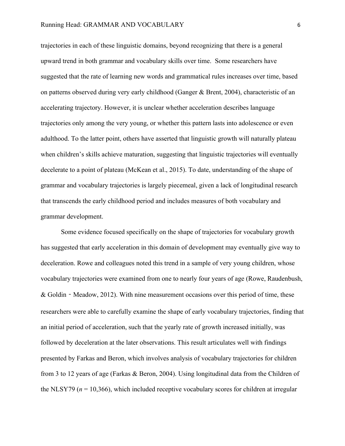trajectories in each of these linguistic domains, beyond recognizing that there is a general upward trend in both grammar and vocabulary skills over time. Some researchers have suggested that the rate of learning new words and grammatical rules increases over time, based on patterns observed during very early childhood (Ganger & Brent, 2004), characteristic of an accelerating trajectory. However, it is unclear whether acceleration describes language trajectories only among the very young, or whether this pattern lasts into adolescence or even adulthood. To the latter point, others have asserted that linguistic growth will naturally plateau when children's skills achieve maturation, suggesting that linguistic trajectories will eventually decelerate to a point of plateau (McKean et al., 2015). To date, understanding of the shape of grammar and vocabulary trajectories is largely piecemeal, given a lack of longitudinal research that transcends the early childhood period and includes measures of both vocabulary and grammar development.

Some evidence focused specifically on the shape of trajectories for vocabulary growth has suggested that early acceleration in this domain of development may eventually give way to deceleration. Rowe and colleagues noted this trend in a sample of very young children, whose vocabulary trajectories were examined from one to nearly four years of age (Rowe, Raudenbush, & Goldin‐Meadow, 2012). With nine measurement occasions over this period of time, these researchers were able to carefully examine the shape of early vocabulary trajectories, finding that an initial period of acceleration, such that the yearly rate of growth increased initially, was followed by deceleration at the later observations. This result articulates well with findings presented by Farkas and Beron, which involves analysis of vocabulary trajectories for children from 3 to 12 years of age (Farkas & Beron, 2004). Using longitudinal data from the Children of the NLSY79 ( $n = 10,366$ ), which included receptive vocabulary scores for children at irregular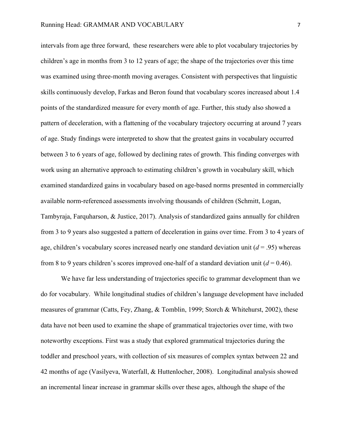intervals from age three forward, these researchers were able to plot vocabulary trajectories by children's age in months from 3 to 12 years of age; the shape of the trajectories over this time was examined using three-month moving averages. Consistent with perspectives that linguistic skills continuously develop, Farkas and Beron found that vocabulary scores increased about 1.4 points of the standardized measure for every month of age. Further, this study also showed a pattern of deceleration, with a flattening of the vocabulary trajectory occurring at around 7 years of age. Study findings were interpreted to show that the greatest gains in vocabulary occurred between 3 to 6 years of age, followed by declining rates of growth. This finding converges with work using an alternative approach to estimating children's growth in vocabulary skill, which examined standardized gains in vocabulary based on age-based norms presented in commercially available norm-referenced assessments involving thousands of children (Schmitt, Logan, Tambyraja, Farquharson, & Justice, 2017). Analysis of standardized gains annually for children from 3 to 9 years also suggested a pattern of deceleration in gains over time. From 3 to 4 years of age, children's vocabulary scores increased nearly one standard deviation unit  $(d = .95)$  whereas from 8 to 9 years children's scores improved one-half of a standard deviation unit (*d* = 0.46).

We have far less understanding of trajectories specific to grammar development than we do for vocabulary. While longitudinal studies of children's language development have included measures of grammar (Catts, Fey, Zhang, & Tomblin, 1999; Storch & Whitehurst, 2002), these data have not been used to examine the shape of grammatical trajectories over time, with two noteworthy exceptions. First was a study that explored grammatical trajectories during the toddler and preschool years, with collection of six measures of complex syntax between 22 and 42 months of age (Vasilyeva, Waterfall, & Huttenlocher, 2008). Longitudinal analysis showed an incremental linear increase in grammar skills over these ages, although the shape of the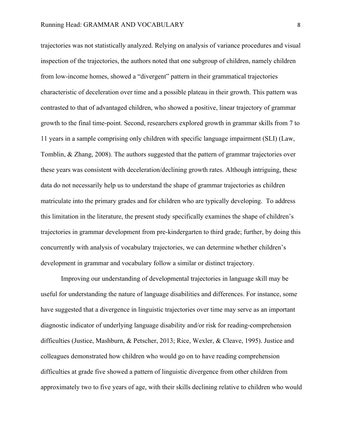trajectories was not statistically analyzed. Relying on analysis of variance procedures and visual inspection of the trajectories, the authors noted that one subgroup of children, namely children from low-income homes, showed a "divergent" pattern in their grammatical trajectories characteristic of deceleration over time and a possible plateau in their growth. This pattern was contrasted to that of advantaged children, who showed a positive, linear trajectory of grammar growth to the final time-point. Second, researchers explored growth in grammar skills from 7 to 11 years in a sample comprising only children with specific language impairment (SLI) (Law, Tomblin, & Zhang, 2008). The authors suggested that the pattern of grammar trajectories over these years was consistent with deceleration/declining growth rates. Although intriguing, these data do not necessarily help us to understand the shape of grammar trajectories as children matriculate into the primary grades and for children who are typically developing. To address this limitation in the literature, the present study specifically examines the shape of children's trajectories in grammar development from pre-kindergarten to third grade; further, by doing this concurrently with analysis of vocabulary trajectories, we can determine whether children's development in grammar and vocabulary follow a similar or distinct trajectory.

Improving our understanding of developmental trajectories in language skill may be useful for understanding the nature of language disabilities and differences. For instance, some have suggested that a divergence in linguistic trajectories over time may serve as an important diagnostic indicator of underlying language disability and/or risk for reading-comprehension difficulties (Justice, Mashburn, & Petscher, 2013; Rice, Wexler, & Cleave, 1995). Justice and colleagues demonstrated how children who would go on to have reading comprehension difficulties at grade five showed a pattern of linguistic divergence from other children from approximately two to five years of age, with their skills declining relative to children who would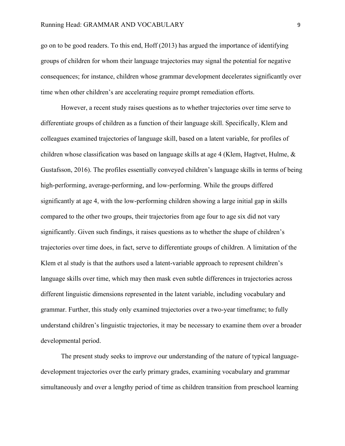go on to be good readers. To this end, Hoff (2013) has argued the importance of identifying groups of children for whom their language trajectories may signal the potential for negative consequences; for instance, children whose grammar development decelerates significantly over time when other children's are accelerating require prompt remediation efforts.

However, a recent study raises questions as to whether trajectories over time serve to differentiate groups of children as a function of their language skill. Specifically, Klem and colleagues examined trajectories of language skill, based on a latent variable, for profiles of children whose classification was based on language skills at age 4 (Klem, Hagtvet, Hulme, & Gustafsson, 2016). The profiles essentially conveyed children's language skills in terms of being high-performing, average-performing, and low-performing. While the groups differed significantly at age 4, with the low-performing children showing a large initial gap in skills compared to the other two groups, their trajectories from age four to age six did not vary significantly. Given such findings, it raises questions as to whether the shape of children's trajectories over time does, in fact, serve to differentiate groups of children. A limitation of the Klem et al study is that the authors used a latent-variable approach to represent children's language skills over time, which may then mask even subtle differences in trajectories across different linguistic dimensions represented in the latent variable, including vocabulary and grammar. Further, this study only examined trajectories over a two-year timeframe; to fully understand children's linguistic trajectories, it may be necessary to examine them over a broader developmental period.

The present study seeks to improve our understanding of the nature of typical languagedevelopment trajectories over the early primary grades, examining vocabulary and grammar simultaneously and over a lengthy period of time as children transition from preschool learning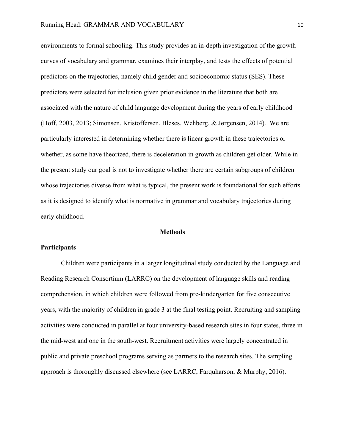environments to formal schooling. This study provides an in-depth investigation of the growth curves of vocabulary and grammar, examines their interplay, and tests the effects of potential predictors on the trajectories, namely child gender and socioeconomic status (SES). These predictors were selected for inclusion given prior evidence in the literature that both are associated with the nature of child language development during the years of early childhood (Hoff, 2003, 2013; Simonsen, Kristoffersen, Bleses, Wehberg, & Jørgensen, 2014). We are particularly interested in determining whether there is linear growth in these trajectories or whether, as some have theorized, there is deceleration in growth as children get older. While in the present study our goal is not to investigate whether there are certain subgroups of children whose trajectories diverse from what is typical, the present work is foundational for such efforts as it is designed to identify what is normative in grammar and vocabulary trajectories during early childhood.

#### **Methods**

## **Participants**

Children were participants in a larger longitudinal study conducted by the Language and Reading Research Consortium (LARRC) on the development of language skills and reading comprehension, in which children were followed from pre-kindergarten for five consecutive years, with the majority of children in grade 3 at the final testing point. Recruiting and sampling activities were conducted in parallel at four university-based research sites in four states, three in the mid-west and one in the south-west. Recruitment activities were largely concentrated in public and private preschool programs serving as partners to the research sites. The sampling approach is thoroughly discussed elsewhere (see LARRC, Farquharson, & Murphy, 2016).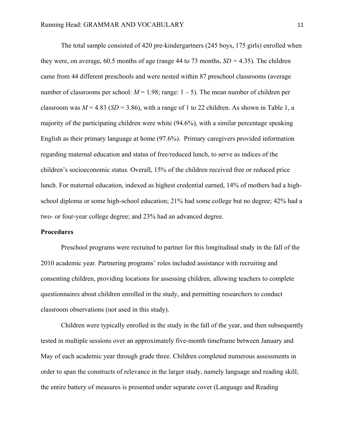The total sample consisted of 420 pre-kindergartners (245 boys, 175 girls) enrolled when they were, on average, 60.5 months of age (range 44 to 73 months,  $SD = 4.35$ ). The children came from 44 different preschools and were nested within 87 preschool classrooms (average number of classrooms per school:  $M = 1.98$ ; range:  $1 - 5$ ). The mean number of children per classroom was  $M = 4.83$  (*SD* = 3.86), with a range of 1 to 22 children. As shown in Table 1, a majority of the participating children were white (94.6%), with a similar percentage speaking English as their primary language at home (97.6%). Primary caregivers provided information regarding maternal education and status of free/reduced lunch, to serve as indices of the children's socioeconomic status. Overall, 15% of the children received free or reduced price lunch. For maternal education, indexed as highest credential earned, 14% of mothers had a highschool diploma or some high-school education; 21% had some college but no degree; 42% had a two- or four-year college degree; and 23% had an advanced degree.

### **Procedures**

Preschool programs were recruited to partner for this longitudinal study in the fall of the 2010 academic year. Partnering programs' roles included assistance with recruiting and consenting children, providing locations for assessing children, allowing teachers to complete questionnaires about children enrolled in the study, and permitting researchers to conduct classroom observations (not used in this study).

Children were typically enrolled in the study in the fall of the year, and then subsequently tested in multiple sessions over an approximately five-month timeframe between January and May of each academic year through grade three. Children completed numerous assessments in order to span the constructs of relevance in the larger study, namely language and reading skill; the entire battery of measures is presented under separate cover (Language and Reading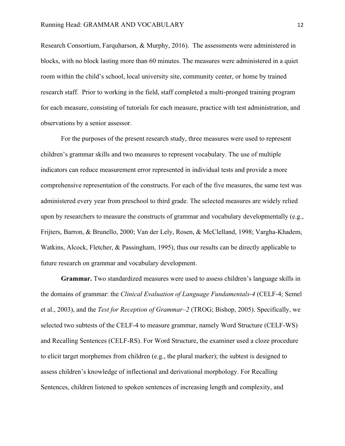Research Consortium, Farquharson, & Murphy, 2016). The assessments were administered in blocks, with no block lasting more than 60 minutes. The measures were administered in a quiet room within the child's school, local university site, community center, or home by trained research staff. Prior to working in the field, staff completed a multi-pronged training program for each measure, consisting of tutorials for each measure, practice with test administration, and observations by a senior assessor.

For the purposes of the present research study, three measures were used to represent children's grammar skills and two measures to represent vocabulary. The use of multiple indicators can reduce measurement error represented in individual tests and provide a more comprehensive representation of the constructs. For each of the five measures, the same test was administered every year from preschool to third grade. The selected measures are widely relied upon by researchers to measure the constructs of grammar and vocabulary developmentally (e.g., Frijters, Barron, & Brunello, 2000; Van der Lely, Rosen, & McClelland, 1998; Vargha-Khadem, Watkins, Alcock, Fletcher, & Passingham, 1995), thus our results can be directly applicable to future research on grammar and vocabulary development.

**Grammar.** Two standardized measures were used to assess children's language skills in the domains of grammar: the *Clinical Evaluation of Language Fundamentals-4* (CELF-4; Semel et al., 2003), and the *Test for Reception of Grammar–2* (TROG; Bishop, 2005). Specifically, we selected two subtests of the CELF-4 to measure grammar, namely Word Structure (CELF-WS) and Recalling Sentences (CELF-RS). For Word Structure, the examiner used a cloze procedure to elicit target morphemes from children (e.g., the plural marker); the subtest is designed to assess children's knowledge of inflectional and derivational morphology. For Recalling Sentences, children listened to spoken sentences of increasing length and complexity, and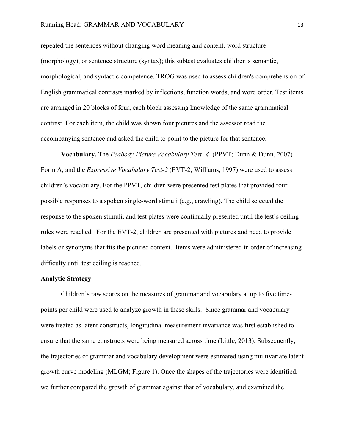repeated the sentences without changing word meaning and content, word structure (morphology), or sentence structure (syntax); this subtest evaluates children's semantic, morphological, and syntactic competence. TROG was used to assess children's comprehension of English grammatical contrasts marked by inflections, function words, and word order. Test items are arranged in 20 blocks of four, each block assessing knowledge of the same grammatical contrast. For each item, the child was shown four pictures and the assessor read the accompanying sentence and asked the child to point to the picture for that sentence.

**Vocabulary.** The *Peabody Picture Vocabulary Test- 4* (PPVT; Dunn & Dunn, 2007) Form A, and the *Expressive Vocabulary Test-2* (EVT-2; Williams, 1997) were used to assess children's vocabulary. For the PPVT, children were presented test plates that provided four possible responses to a spoken single-word stimuli (e.g., crawling). The child selected the response to the spoken stimuli, and test plates were continually presented until the test's ceiling rules were reached. For the EVT-2, children are presented with pictures and need to provide labels or synonyms that fits the pictured context. Items were administered in order of increasing difficulty until test ceiling is reached.

## **Analytic Strategy**

Children's raw scores on the measures of grammar and vocabulary at up to five timepoints per child were used to analyze growth in these skills. Since grammar and vocabulary were treated as latent constructs, longitudinal measurement invariance was first established to ensure that the same constructs were being measured across time (Little, 2013). Subsequently, the trajectories of grammar and vocabulary development were estimated using multivariate latent growth curve modeling (MLGM; Figure 1). Once the shapes of the trajectories were identified, we further compared the growth of grammar against that of vocabulary, and examined the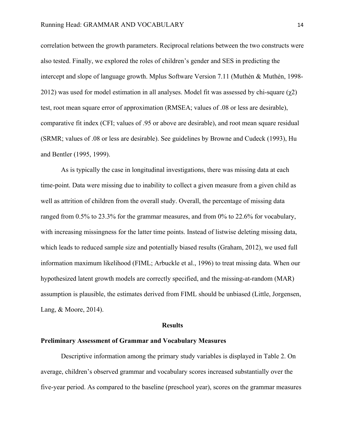correlation between the growth parameters. Reciprocal relations between the two constructs were also tested. Finally, we explored the roles of children's gender and SES in predicting the intercept and slope of language growth. Mplus Software Version 7.11 (Muthén & Muthén, 1998- 2012) was used for model estimation in all analyses. Model fit was assessed by chi-square  $(\gamma 2)$ test, root mean square error of approximation (RMSEA; values of .08 or less are desirable), comparative fit index (CFI; values of .95 or above are desirable), and root mean square residual (SRMR; values of .08 or less are desirable). See guidelines by Browne and Cudeck (1993), Hu and Bentler (1995, 1999).

As is typically the case in longitudinal investigations, there was missing data at each time-point. Data were missing due to inability to collect a given measure from a given child as well as attrition of children from the overall study. Overall, the percentage of missing data ranged from 0.5% to 23.3% for the grammar measures, and from 0% to 22.6% for vocabulary, with increasing missingness for the latter time points. Instead of listwise deleting missing data, which leads to reduced sample size and potentially biased results (Graham, 2012), we used full information maximum likelihood (FIML; Arbuckle et al., 1996) to treat missing data. When our hypothesized latent growth models are correctly specified, and the missing-at-random (MAR) assumption is plausible, the estimates derived from FIML should be unbiased (Little, Jorgensen, Lang, & Moore, 2014).

## **Results**

## **Preliminary Assessment of Grammar and Vocabulary Measures**

Descriptive information among the primary study variables is displayed in Table 2. On average, children's observed grammar and vocabulary scores increased substantially over the five-year period. As compared to the baseline (preschool year), scores on the grammar measures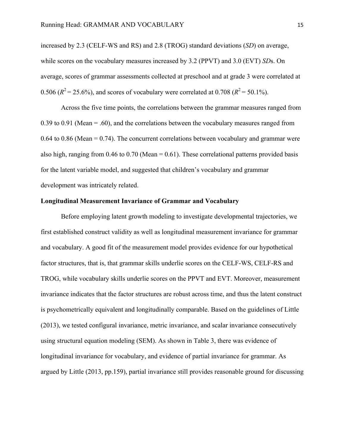increased by 2.3 (CELF-WS and RS) and 2.8 (TROG) standard deviations (*SD*) on average, while scores on the vocabulary measures increased by 3.2 (PPVT) and 3.0 (EVT) *SD*s. On average, scores of grammar assessments collected at preschool and at grade 3 were correlated at 0.506 ( $R^2 = 25.6\%$ ), and scores of vocabulary were correlated at 0.708 ( $R^2 = 50.1\%$ ).

Across the five time points, the correlations between the grammar measures ranged from 0.39 to 0.91 (Mean  $= 0.60$ ), and the correlations between the vocabulary measures ranged from  $0.64$  to  $0.86$  (Mean =  $0.74$ ). The concurrent correlations between vocabulary and grammar were also high, ranging from  $0.46$  to  $0.70$  (Mean =  $0.61$ ). These correlational patterns provided basis for the latent variable model, and suggested that children's vocabulary and grammar development was intricately related.

## **Longitudinal Measurement Invariance of Grammar and Vocabulary**

Before employing latent growth modeling to investigate developmental trajectories, we first established construct validity as well as longitudinal measurement invariance for grammar and vocabulary. A good fit of the measurement model provides evidence for our hypothetical factor structures, that is, that grammar skills underlie scores on the CELF-WS, CELF-RS and TROG, while vocabulary skills underlie scores on the PPVT and EVT. Moreover, measurement invariance indicates that the factor structures are robust across time, and thus the latent construct is psychometrically equivalent and longitudinally comparable. Based on the guidelines of Little (2013), we tested configural invariance, metric invariance, and scalar invariance consecutively using structural equation modeling (SEM). As shown in Table 3, there was evidence of longitudinal invariance for vocabulary, and evidence of partial invariance for grammar. As argued by Little (2013, pp.159), partial invariance still provides reasonable ground for discussing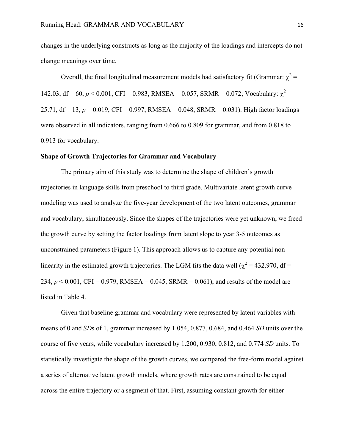changes in the underlying constructs as long as the majority of the loadings and intercepts do not change meanings over time.

Overall, the final longitudinal measurement models had satisfactory fit (Grammar:  $\chi^2$  = 142.03, df = 60,  $p < 0.001$ , CFI = 0.983, RMSEA = 0.057, SRMR = 0.072; Vocabulary:  $\chi^2$  = 25.71, df = 13,  $p = 0.019$ , CFI = 0.997, RMSEA = 0.048, SRMR = 0.031). High factor loadings were observed in all indicators, ranging from 0.666 to 0.809 for grammar, and from 0.818 to 0.913 for vocabulary.

### **Shape of Growth Trajectories for Grammar and Vocabulary**

The primary aim of this study was to determine the shape of children's growth trajectories in language skills from preschool to third grade. Multivariate latent growth curve modeling was used to analyze the five-year development of the two latent outcomes, grammar and vocabulary, simultaneously. Since the shapes of the trajectories were yet unknown, we freed the growth curve by setting the factor loadings from latent slope to year 3-5 outcomes as unconstrained parameters (Figure 1). This approach allows us to capture any potential nonlinearity in the estimated growth trajectories. The LGM fits the data well ( $\chi^2$  = 432.970, df = 234,  $p < 0.001$ , CFI = 0.979, RMSEA = 0.045, SRMR = 0.061), and results of the model are listed in Table 4.

Given that baseline grammar and vocabulary were represented by latent variables with means of 0 and *SD*s of 1, grammar increased by 1.054, 0.877, 0.684, and 0.464 *SD* units over the course of five years, while vocabulary increased by 1.200, 0.930, 0.812, and 0.774 *SD* units. To statistically investigate the shape of the growth curves, we compared the free-form model against a series of alternative latent growth models, where growth rates are constrained to be equal across the entire trajectory or a segment of that. First, assuming constant growth for either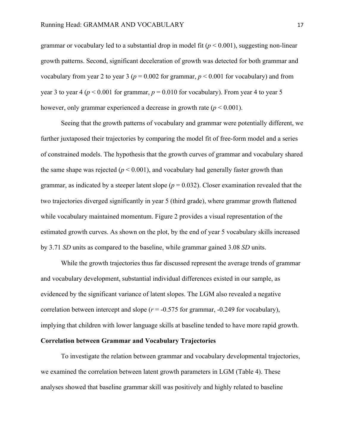grammar or vocabulary led to a substantial drop in model fit  $(p < 0.001)$ , suggesting non-linear growth patterns. Second, significant deceleration of growth was detected for both grammar and vocabulary from year 2 to year 3 ( $p = 0.002$  for grammar,  $p \le 0.001$  for vocabulary) and from year 3 to year 4 ( $p < 0.001$  for grammar,  $p = 0.010$  for vocabulary). From year 4 to year 5 however, only grammar experienced a decrease in growth rate  $(p < 0.001)$ .

Seeing that the growth patterns of vocabulary and grammar were potentially different, we further juxtaposed their trajectories by comparing the model fit of free-form model and a series of constrained models. The hypothesis that the growth curves of grammar and vocabulary shared the same shape was rejected  $(p < 0.001)$ , and vocabulary had generally faster growth than grammar, as indicated by a steeper latent slope  $(p = 0.032)$ . Closer examination revealed that the two trajectories diverged significantly in year 5 (third grade), where grammar growth flattened while vocabulary maintained momentum. Figure 2 provides a visual representation of the estimated growth curves. As shown on the plot, by the end of year 5 vocabulary skills increased by 3.71 *SD* units as compared to the baseline, while grammar gained 3.08 *SD* units.

While the growth trajectories thus far discussed represent the average trends of grammar and vocabulary development, substantial individual differences existed in our sample, as evidenced by the significant variance of latent slopes. The LGM also revealed a negative correlation between intercept and slope  $(r = -0.575$  for grammar,  $-0.249$  for vocabulary), implying that children with lower language skills at baseline tended to have more rapid growth.

## **Correlation between Grammar and Vocabulary Trajectories**

To investigate the relation between grammar and vocabulary developmental trajectories, we examined the correlation between latent growth parameters in LGM (Table 4). These analyses showed that baseline grammar skill was positively and highly related to baseline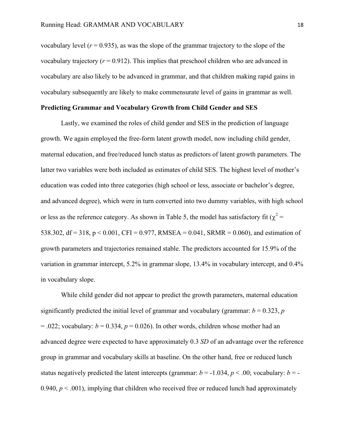vocabulary level  $(r = 0.935)$ , as was the slope of the grammar trajectory to the slope of the vocabulary trajectory  $(r = 0.912)$ . This implies that preschool children who are advanced in vocabulary are also likely to be advanced in grammar, and that children making rapid gains in vocabulary subsequently are likely to make commensurate level of gains in grammar as well.

#### **Predicting Grammar and Vocabulary Growth from Child Gender and SES**

Lastly, we examined the roles of child gender and SES in the prediction of language growth. We again employed the free-form latent growth model, now including child gender, maternal education, and free/reduced lunch status as predictors of latent growth parameters. The latter two variables were both included as estimates of child SES. The highest level of mother's education was coded into three categories (high school or less, associate or bachelor's degree, and advanced degree), which were in turn converted into two dummy variables, with high school or less as the reference category. As shown in Table 5, the model has satisfactory fit ( $\chi^2$  = 538.302, df = 318, p < 0.001, CFI = 0.977, RMSEA = 0.041, SRMR = 0.060), and estimation of growth parameters and trajectories remained stable. The predictors accounted for 15.9% of the variation in grammar intercept, 5.2% in grammar slope, 13.4% in vocabulary intercept, and 0.4% in vocabulary slope.

While child gender did not appear to predict the growth parameters, maternal education significantly predicted the initial level of grammar and vocabulary (grammar:  $b = 0.323$ , *p*  $= .022$ ; vocabulary:  $b = 0.334$ ,  $p = 0.026$ ). In other words, children whose mother had an advanced degree were expected to have approximately 0.3 *SD* of an advantage over the reference group in grammar and vocabulary skills at baseline. On the other hand, free or reduced lunch status negatively predicted the latent intercepts (grammar:  $b = -1.034$ ,  $p < .00$ ; vocabulary:  $b = -1.034$ 0.940,  $p < .001$ ), implying that children who received free or reduced lunch had approximately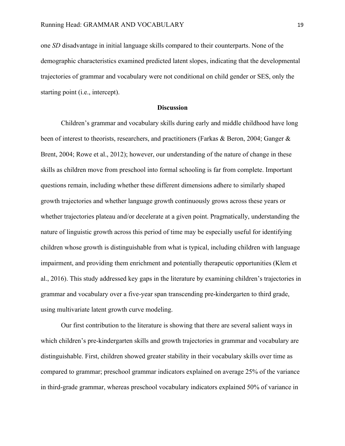one *SD* disadvantage in initial language skills compared to their counterparts. None of the demographic characteristics examined predicted latent slopes, indicating that the developmental trajectories of grammar and vocabulary were not conditional on child gender or SES, only the starting point (i.e., intercept).

### **Discussion**

Children's grammar and vocabulary skills during early and middle childhood have long been of interest to theorists, researchers, and practitioners (Farkas & Beron, 2004; Ganger & Brent, 2004; Rowe et al., 2012); however, our understanding of the nature of change in these skills as children move from preschool into formal schooling is far from complete. Important questions remain, including whether these different dimensions adhere to similarly shaped growth trajectories and whether language growth continuously grows across these years or whether trajectories plateau and/or decelerate at a given point. Pragmatically, understanding the nature of linguistic growth across this period of time may be especially useful for identifying children whose growth is distinguishable from what is typical, including children with language impairment, and providing them enrichment and potentially therapeutic opportunities (Klem et al., 2016). This study addressed key gaps in the literature by examining children's trajectories in grammar and vocabulary over a five-year span transcending pre-kindergarten to third grade, using multivariate latent growth curve modeling.

Our first contribution to the literature is showing that there are several salient ways in which children's pre-kindergarten skills and growth trajectories in grammar and vocabulary are distinguishable. First, children showed greater stability in their vocabulary skills over time as compared to grammar; preschool grammar indicators explained on average 25% of the variance in third-grade grammar, whereas preschool vocabulary indicators explained 50% of variance in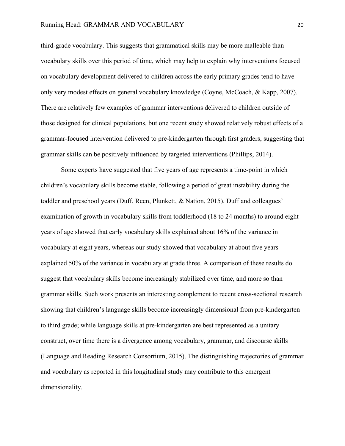third-grade vocabulary. This suggests that grammatical skills may be more malleable than vocabulary skills over this period of time, which may help to explain why interventions focused on vocabulary development delivered to children across the early primary grades tend to have only very modest effects on general vocabulary knowledge (Coyne, McCoach, & Kapp, 2007). There are relatively few examples of grammar interventions delivered to children outside of those designed for clinical populations, but one recent study showed relatively robust effects of a grammar-focused intervention delivered to pre-kindergarten through first graders, suggesting that grammar skills can be positively influenced by targeted interventions (Phillips, 2014).

Some experts have suggested that five years of age represents a time-point in which children's vocabulary skills become stable, following a period of great instability during the toddler and preschool years (Duff, Reen, Plunkett, & Nation, 2015). Duff and colleagues' examination of growth in vocabulary skills from toddlerhood (18 to 24 months) to around eight years of age showed that early vocabulary skills explained about 16% of the variance in vocabulary at eight years, whereas our study showed that vocabulary at about five years explained 50% of the variance in vocabulary at grade three. A comparison of these results do suggest that vocabulary skills become increasingly stabilized over time, and more so than grammar skills. Such work presents an interesting complement to recent cross-sectional research showing that children's language skills become increasingly dimensional from pre-kindergarten to third grade; while language skills at pre-kindergarten are best represented as a unitary construct, over time there is a divergence among vocabulary, grammar, and discourse skills (Language and Reading Research Consortium, 2015). The distinguishing trajectories of grammar and vocabulary as reported in this longitudinal study may contribute to this emergent dimensionality.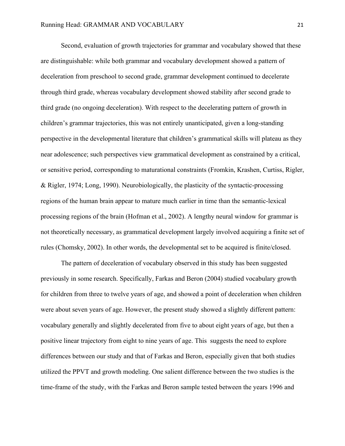Second, evaluation of growth trajectories for grammar and vocabulary showed that these are distinguishable: while both grammar and vocabulary development showed a pattern of deceleration from preschool to second grade, grammar development continued to decelerate through third grade, whereas vocabulary development showed stability after second grade to third grade (no ongoing deceleration). With respect to the decelerating pattern of growth in children's grammar trajectories, this was not entirely unanticipated, given a long-standing perspective in the developmental literature that children's grammatical skills will plateau as they near adolescence; such perspectives view grammatical development as constrained by a critical, or sensitive period, corresponding to maturational constraints (Fromkin, Krashen, Curtiss, Rigler, & Rigler, 1974; Long, 1990). Neurobiologically, the plasticity of the syntactic-processing regions of the human brain appear to mature much earlier in time than the semantic-lexical processing regions of the brain (Hofman et al., 2002). A lengthy neural window for grammar is not theoretically necessary, as grammatical development largely involved acquiring a finite set of rules (Chomsky, 2002). In other words, the developmental set to be acquired is finite/closed.

The pattern of deceleration of vocabulary observed in this study has been suggested previously in some research. Specifically, Farkas and Beron (2004) studied vocabulary growth for children from three to twelve years of age, and showed a point of deceleration when children were about seven years of age. However, the present study showed a slightly different pattern: vocabulary generally and slightly decelerated from five to about eight years of age, but then a positive linear trajectory from eight to nine years of age. This suggests the need to explore differences between our study and that of Farkas and Beron, especially given that both studies utilized the PPVT and growth modeling. One salient difference between the two studies is the time-frame of the study, with the Farkas and Beron sample tested between the years 1996 and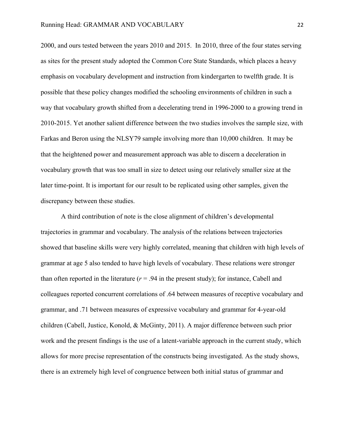2000, and ours tested between the years 2010 and 2015. In 2010, three of the four states serving as sites for the present study adopted the Common Core State Standards, which places a heavy emphasis on vocabulary development and instruction from kindergarten to twelfth grade. It is possible that these policy changes modified the schooling environments of children in such a way that vocabulary growth shifted from a decelerating trend in 1996-2000 to a growing trend in 2010-2015. Yet another salient difference between the two studies involves the sample size, with Farkas and Beron using the NLSY79 sample involving more than 10,000 children. It may be that the heightened power and measurement approach was able to discern a deceleration in vocabulary growth that was too small in size to detect using our relatively smaller size at the later time-point. It is important for our result to be replicated using other samples, given the discrepancy between these studies.

A third contribution of note is the close alignment of children's developmental trajectories in grammar and vocabulary. The analysis of the relations between trajectories showed that baseline skills were very highly correlated, meaning that children with high levels of grammar at age 5 also tended to have high levels of vocabulary. These relations were stronger than often reported in the literature  $(r = .94$  in the present study); for instance, Cabell and colleagues reported concurrent correlations of .64 between measures of receptive vocabulary and grammar, and .71 between measures of expressive vocabulary and grammar for 4-year-old children (Cabell, Justice, Konold, & McGinty, 2011). A major difference between such prior work and the present findings is the use of a latent-variable approach in the current study, which allows for more precise representation of the constructs being investigated. As the study shows, there is an extremely high level of congruence between both initial status of grammar and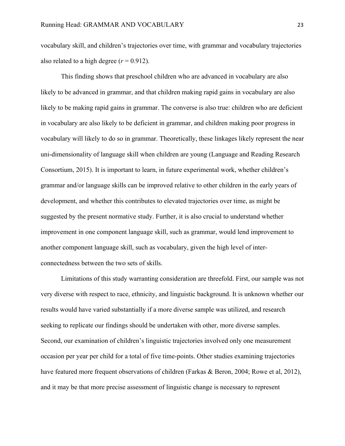vocabulary skill, and children's trajectories over time, with grammar and vocabulary trajectories also related to a high degree  $(r = 0.912)$ .

This finding shows that preschool children who are advanced in vocabulary are also likely to be advanced in grammar, and that children making rapid gains in vocabulary are also likely to be making rapid gains in grammar. The converse is also true: children who are deficient in vocabulary are also likely to be deficient in grammar, and children making poor progress in vocabulary will likely to do so in grammar. Theoretically, these linkages likely represent the near uni-dimensionality of language skill when children are young (Language and Reading Research Consortium, 2015). It is important to learn, in future experimental work, whether children's grammar and/or language skills can be improved relative to other children in the early years of development, and whether this contributes to elevated trajectories over time, as might be suggested by the present normative study. Further, it is also crucial to understand whether improvement in one component language skill, such as grammar, would lend improvement to another component language skill, such as vocabulary, given the high level of interconnectedness between the two sets of skills.

Limitations of this study warranting consideration are threefold. First, our sample was not very diverse with respect to race, ethnicity, and linguistic background. It is unknown whether our results would have varied substantially if a more diverse sample was utilized, and research seeking to replicate our findings should be undertaken with other, more diverse samples. Second, our examination of children's linguistic trajectories involved only one measurement occasion per year per child for a total of five time-points. Other studies examining trajectories have featured more frequent observations of children (Farkas & Beron, 2004; Rowe et al, 2012), and it may be that more precise assessment of linguistic change is necessary to represent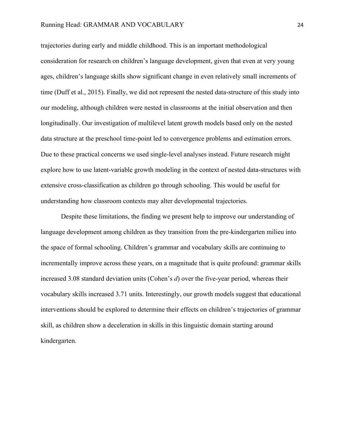trajectories during early and middle childhood. This is an important methodological consideration for research on children's language development, given that even at very young ages, children's language skills show significant change in even relatively small increments of time (Duff et al., 2015). Finally, we did not represent the nested data-structure of this study into our modeling, although children were nested in classrooms at the initial observation and then longitudinally. Our investigation of multilevel latent growth models based only on the nested data structure at the preschool time-point led to convergence problems and estimation errors. Due to these practical concerns we used single-level analyses instead. Future research might explore how to use latent-variable growth modeling in the context of nested data-structures with extensive cross-classification as children go through schooling. This would be useful for understanding how classroom contexts may alter developmental trajectories.

Despite these limitations, the finding we present help to improve our understanding of language development among children as they transition from the pre-kindergarten milieu into the space of formal schooling. Children's grammar and vocabulary skills are continuing to incrementally improve across these years, on a magnitude that is quite profound: grammar skills increased 3.08 standard deviation units (Cohen's *d*) over the five-year period, whereas their vocabulary skills increased 3.71 units. Interestingly, our growth models suggest that educational interventions should be explored to determine their effects on children's trajectories of grammar skill, as children show a deceleration in skills in this linguistic domain starting around kindergarten.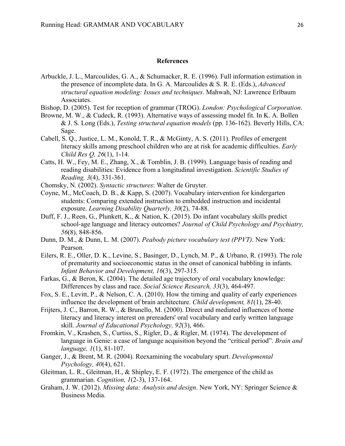#### **References**

Arbuckle, J. L., Marcoulides, G. A., & Schumacker, R. E. (1996). Full information estimation in the presence of incomplete data. In G. A. Marcoulides & S. R. E. (Eds.), *Advanced structural equation modeling: Issues and techniques*. Mahwah, NJ: Lawrence Erlbaum Associates.

Bishop, D. (2005). Test for reception of grammar (TROG). *London: Psychological Corporation*.

- Browne, M. W., & Cudeck, R. (1993). Alternative ways of assessing model fit. In K. A. Bollen & J. S. Long (Eds.), *Testing structural equation models* (pp. 136-162). Beverly Hills, CA: Sage.
- Cabell, S. Q., Justice, L. M., Konold, T. R., & McGinty, A. S. (2011). Profiles of emergent literacy skills among preschool children who are at risk for academic difficulties. *Early Child Res Q, 26*(1), 1-14.
- Catts, H. W., Fey, M. E., Zhang, X., & Tomblin, J. B. (1999). Language basis of reading and reading disabilities: Evidence from a longitudinal investigation. *Scientific Studies of Reading, 3*(4), 331-361.
- Chomsky, N. (2002). *Syntactic structures*: Walter de Gruyter.
- Coyne, M., McCoach, D. B., & Kapp, S. (2007). Vocabulary intervention for kindergarten students: Comparing extended instruction to embedded instruction and incidental exposure. *Learning Disability Quarterly, 30*(2), 74-88.
- Duff, F. J., Reen, G., Plunkett, K., & Nation, K. (2015). Do infant vocabulary skills predict school-age language and literacy outcomes? *Journal of Child Psychology and Psychiatry, 56*(8), 848-856.
- Dunn, D. M., & Dunn, L. M. (2007). *Peabody picture vocabulary test (PPVT)*. New York: Pearson.
- Eilers, R. E., Oller, D. K., Levine, S., Basinger, D., Lynch, M. P., & Urbano, R. (1993). The role of prematurity and socioeconomic status in the onset of canonical babbling in infants. *Infant Behavior and Development, 16*(3), 297-315.
- Farkas, G., & Beron, K. (2004). The detailed age trajectory of oral vocabulary knowledge: Differences by class and race. *Social Science Research, 33*(3), 464-497.
- Fox, S. E., Levitt, P., & Nelson, C. A. (2010). How the timing and quality of early experiences influence the development of brain architecture. *Child development, 81*(1), 28-40.
- Frijters, J. C., Barron, R. W., & Brunello, M. (2000). Direct and mediated influences of home literacy and literacy interest on prereaders' oral vocabulary and early written language skill. *Journal of Educational Psychology, 92*(3), 466.
- Fromkin, V., Krashen, S., Curtiss, S., Rigler, D., & Rigler, M. (1974). The development of language in Genie: a case of language acquisition beyond the "critical period". *Brain and language, 1*(1), 81-107.
- Ganger, J., & Brent, M. R. (2004). Reexamining the vocabulary spurt. *Developmental Psychology, 40*(4), 621.
- Gleitman, L. R., Gleitman, H., & Shipley, E. F. (1972). The emergence of the child as grammarian. *Cognition, 1*(2-3), 137-164.
- Graham, J. W. (2012). *Missing data: Analysis and design*. New York, NY: Springer Science & Business Media.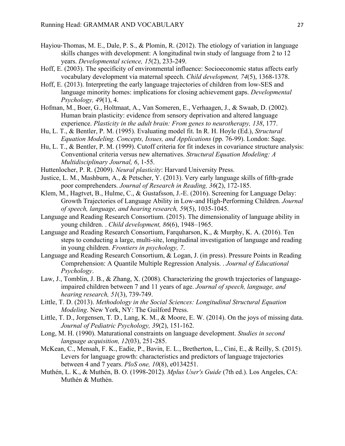- Hayiou-Thomas, M. E., Dale, P. S., & Plomin, R. (2012). The etiology of variation in language skills changes with development: A longitudinal twin study of language from 2 to 12 years. *Developmental science, 15*(2), 233-249.
- Hoff, E. (2003). The specificity of environmental influence: Socioeconomic status affects early vocabulary development via maternal speech. *Child development, 74*(5), 1368-1378.
- Hoff, E. (2013). Interpreting the early language trajectories of children from low-SES and language minority homes: implications for closing achievement gaps. *Developmental Psychology, 49*(1), 4.
- Hofman, M., Boer, G., Holtmaat, A., Van Someren, E., Verhaagen, J., & Swaab, D. (2002). Human brain plasticity: evidence from sensory deprivation and altered language experience. *Plasticity in the adult brain: From genes to neurotherapy, 138*, 177.
- Hu, L. T., & Bentler, P. M. (1995). Evaluating model fit. In R. H. Hoyle (Ed.), *Structural Equation Modeling. Concepts, Issues, and Applications* (pp. 76-99). London: Sage.
- Hu, L. T., & Bentler, P. M. (1999). Cutoff criteria for fit indexes in covariance structure analysis: Conventional criteria versus new alternatives. *Structural Equation Modeling: A Multidisciplinary Journal, 6*, 1-55.
- Huttenlocher, P. R. (2009). *Neural plasticity*: Harvard University Press.
- Justice, L. M., Mashburn, A., & Petscher, Y. (2013). Very early language skills of fifth-grade poor comprehenders. *Journal of Research in Reading, 36*(2), 172-185.
- Klem, M., Hagtvet, B., Hulme, C., & Gustafsson, J.-E. (2016). Screening for Language Delay: Growth Trajectories of Language Ability in Low-and High-Performing Children. *Journal of speech, language, and hearing research, 59*(5), 1035-1045.
- Language and Reading Research Consortium. (2015). The dimensionality of language ability in young children. . *Child development, 86*(6), 1948–1965.
- Language and Reading Research Consortium, Farquharson, K., & Murphy, K. A. (2016). Ten steps to conducting a large, multi-site, longitudinal investigation of language and reading in young children. *Frontiers in psychology, 7*.
- Language and Reading Research Consortium, & Logan, J. (in press). Pressure Points in Reading Comprehension: A Quantile Multiple Regression Analysis. . *Journal of Educational Psychology*.
- Law, J., Tomblin, J. B., & Zhang, X. (2008). Characterizing the growth trajectories of languageimpaired children between 7 and 11 years of age. *Journal of speech, language, and hearing research, 51*(3), 739-749.
- Little, T. D. (2013). *Methodology in the Social Sciences: Longitudinal Structural Equation Modeling*. New York, NY: The Guilford Press.
- Little, T. D., Jorgensen, T. D., Lang, K. M., & Moore, E. W. (2014). On the joys of missing data. *Journal of Pediatric Psychology, 39*(2), 151-162.
- Long, M. H. (1990). Maturational constraints on language development. *Studies in second language acquisition, 12*(03), 251-285.
- McKean, C., Mensah, F. K., Eadie, P., Bavin, E. L., Bretherton, L., Cini, E., & Reilly, S. (2015). Levers for language growth: characteristics and predictors of language trajectories between 4 and 7 years. *PloS one, 10*(8), e0134251.
- Muthén, L. K., & Muthén, B. O. (1998-2012). *Mplus User's Guide* (7th ed.). Los Angeles, CA: Muthén & Muthén.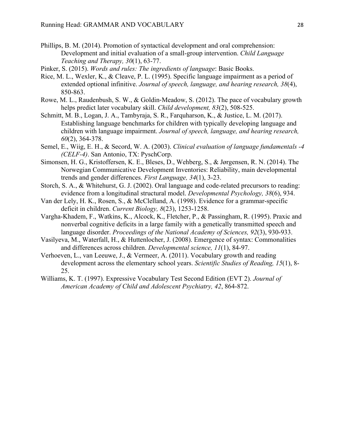- Phillips, B. M. (2014). Promotion of syntactical development and oral comprehension: Development and initial evaluation of a small-group intervention. *Child Language Teaching and Therapy, 30*(1), 63-77.
- Pinker, S. (2015). *Words and rules: The ingredients of language*: Basic Books.
- Rice, M. L., Wexler, K., & Cleave, P. L. (1995). Specific language impairment as a period of extended optional infinitive. *Journal of speech, language, and hearing research, 38*(4), 850-863.
- Rowe, M. L., Raudenbush, S. W., & Goldin-Meadow, S. (2012). The pace of vocabulary growth helps predict later vocabulary skill. *Child development, 83*(2), 508-525.
- Schmitt, M. B., Logan, J. A., Tambyraja, S. R., Farquharson, K., & Justice, L. M. (2017). Establishing language benchmarks for children with typically developing language and children with language impairment. *Journal of speech, language, and hearing research, 60*(2), 364-378.
- Semel, E., Wiig, E. H., & Secord, W. A. (2003). *Clinical evaluation of language fundamentals -4 (CELF-4)*. San Antonio, TX: PyschCorp.
- Simonsen, H. G., Kristoffersen, K. E., Bleses, D., Wehberg, S., & Jørgensen, R. N. (2014). The Norwegian Communicative Development Inventories: Reliability, main developmental trends and gender differences. *First Language, 34*(1), 3-23.
- Storch, S. A., & Whitehurst, G. J. (2002). Oral language and code-related precursors to reading: evidence from a longitudinal structural model. *Developmental Psychology, 38*(6), 934.
- Van der Lely, H. K., Rosen, S., & McClelland, A. (1998). Evidence for a grammar-specific deficit in children. *Current Biology, 8*(23), 1253-1258.
- Vargha-Khadem, F., Watkins, K., Alcock, K., Fletcher, P., & Passingham, R. (1995). Praxic and nonverbal cognitive deficits in a large family with a genetically transmitted speech and language disorder. *Proceedings of the National Academy of Sciences, 92*(3), 930-933.
- Vasilyeva, M., Waterfall, H., & Huttenlocher, J. (2008). Emergence of syntax: Commonalities and differences across children. *Developmental science, 11*(1), 84-97.
- Verhoeven, L., van Leeuwe, J., & Vermeer, A. (2011). Vocabulary growth and reading development across the elementary school years. *Scientific Studies of Reading, 15*(1), 8- 25.
- Williams, K. T. (1997). Expressive Vocabulary Test Second Edition (EVT 2). *Journal of American Academy of Child and Adolescent Psychiatry, 42*, 864-872.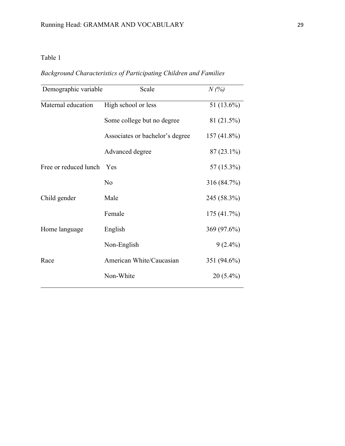*Background Characteristics of Participating Children and Families*

| Demographic variable  | Scale                           | N(%)         |
|-----------------------|---------------------------------|--------------|
| Maternal education    | High school or less             | 51 (13.6%)   |
|                       | Some college but no degree      | 81 (21.5%)   |
|                       | Associates or bachelor's degree | 157 (41.8%)  |
|                       | Advanced degree                 | $87(23.1\%)$ |
| Free or reduced lunch | Yes                             | 57 (15.3%)   |
|                       | N <sub>o</sub>                  | 316 (84.7%)  |
| Child gender          | Male                            | 245 (58.3%)  |
|                       | Female                          | 175(41.7%)   |
| Home language         | English                         | 369 (97.6%)  |
|                       | Non-English                     | $9(2.4\%)$   |
| Race                  | American White/Caucasian        | 351 (94.6%)  |
|                       | Non-White                       | $20(5.4\%)$  |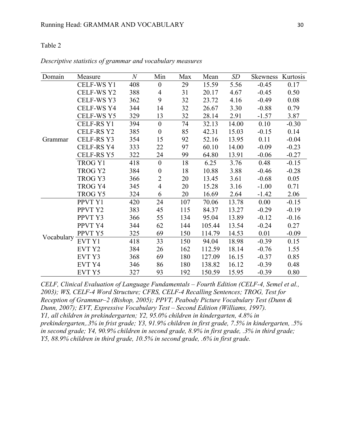| Domain     | Measure           | $\boldsymbol{N}$ | Min              | Max | Mean   | SD    | Skewness Kurtosis |         |
|------------|-------------------|------------------|------------------|-----|--------|-------|-------------------|---------|
|            | CELF-WS Y1        | 408              | $\theta$         | 29  | 15.59  | 5.56  | $-0.45$           | 0.17    |
|            | <b>CELF-WS Y2</b> | 388              | $\overline{4}$   | 31  | 20.17  | 4.67  | $-0.45$           | 0.50    |
|            | CELF-WS Y3        | 362              | 9                | 32  | 23.72  | 4.16  | $-0.49$           | 0.08    |
|            | <b>CELF-WS Y4</b> | 344              | 14               | 32  | 26.67  | 3.30  | $-0.88$           | 0.79    |
|            | CELF-WS Y5        | 329              | 13               | 32  | 28.14  | 2.91  | $-1.57$           | 3.87    |
|            | <b>CELF-RS Y1</b> | 394              | $\mathbf{0}$     | 74  | 32.13  | 14.00 | 0.10              | $-0.30$ |
|            | CELF-RS Y2        | 385              | $\boldsymbol{0}$ | 85  | 42.31  | 15.03 | $-0.15$           | 0.14    |
| Grammar    | <b>CELF-RS Y3</b> | 354              | 15               | 92  | 52.16  | 13.95 | 0.11              | $-0.04$ |
|            | CELF-RS Y4        | 333              | 22               | 97  | 60.10  | 14.00 | $-0.09$           | $-0.23$ |
|            | CELF-RS Y5        | 322              | 24               | 99  | 64.80  | 13.91 | $-0.06$           | $-0.27$ |
|            | TROG Y1           | 418              | $\theta$         | 18  | 6.25   | 3.76  | 0.48              | $-0.15$ |
|            | TROG Y2           | 384              | $\boldsymbol{0}$ | 18  | 10.88  | 3.88  | $-0.46$           | $-0.28$ |
|            | TROG Y3           | 366              | $\overline{2}$   | 20  | 13.45  | 3.61  | $-0.68$           | 0.05    |
|            | TROG Y4           | 345              | $\overline{4}$   | 20  | 15.28  | 3.16  | $-1.00$           | 0.71    |
|            | TROG Y5           | 324              | 6                | 20  | 16.69  | 2.64  | $-1.42$           | 2.06    |
|            | PPVT Y1           | 420              | 24               | 107 | 70.06  | 13.78 | 0.00              | $-0.15$ |
|            | PPVT Y2           | 383              | 45               | 115 | 84.37  | 13.27 | $-0.29$           | $-0.19$ |
|            | PPVT Y3           | 366              | 55               | 134 | 95.04  | 13.89 | $-0.12$           | $-0.16$ |
|            | PPVT Y4           | 344              | 62               | 144 | 105.44 | 13.54 | $-0.24$           | 0.27    |
|            | PPVT Y5           | 325              | 69               | 150 | 114.79 | 14.53 | 0.01              | $-0.09$ |
| Vocabulary | EVT Y1            | 418              | 33               | 150 | 94.04  | 18.98 | $-0.39$           | 0.15    |
|            | EVT Y2            | 384              | 26               | 162 | 112.59 | 18.14 | $-0.76$           | 1.55    |
|            | EVT Y3            | 368              | 69               | 180 | 127.09 | 16.15 | $-0.37$           | 0.85    |
|            | EVT Y4            | 346              | 86               | 180 | 138.82 | 16.12 | $-0.39$           | 0.48    |
|            | EVT Y5            | 327              | 93               | 192 | 150.59 | 15.95 | $-0.39$           | 0.80    |

*Descriptive statistics of grammar and vocabulary measures*

*CELF, Clinical Evaluation of Language Fundamentals – Fourth Edition (CELF-4, Semel et al., 2003); WS, CELF-4 Word Structure; CFRS, CELF-4 Recalling Sentences; TROG, Test for Reception of Grammar–2 (Bishop, 2005); PPVT, Peabody Picture Vocabulary Test (Dunn & Dunn, 2007); EVT, Expressive Vocabulary Test – Second Edition (Williams, 1997). Y1, all children in prekindergarten; Y2, 95.0% children in kindergarten, 4.8% in prekindergarten,.3% in frist grade; Y3, 91.9% children in first grade, 7.5% in kindergarten, .5% in second grade; Y4, 90.9% children in second grade, 8.9% in first grade, .3% in third grade; Y5, 88.9% children in third grade, 10.5% in second grade, .6% in first grade.*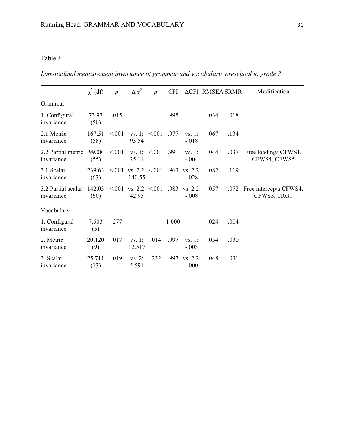*Longitudinal measurement invariance of grammar and vocabulary, preschool to grade 3*

|                                  | $\chi^2$ (df)  | $\boldsymbol{p}$ | $\Delta \chi^2$             | $\boldsymbol{p}$   | <b>CFI</b> |                        | <b>ACFI RMSEA SRMR</b> |      | Modification                               |
|----------------------------------|----------------|------------------|-----------------------------|--------------------|------------|------------------------|------------------------|------|--------------------------------------------|
| Grammar                          |                |                  |                             |                    |            |                        |                        |      |                                            |
| 1. Configural<br>invariance      | 73.97<br>(50)  | .015             |                             |                    | .995       |                        | .034                   | .018 |                                            |
| 2.1 Metric<br>invariance         | 167.51<br>(58) | < 0.01           | 93.54                       | vs. 1: $\leq 0.01$ | 977        | vs. 1:<br>$-.018$      | .067                   | .134 |                                            |
| 2.2 Partial metric<br>invariance | 99.08<br>(55)  | < 0.01           | 25.11                       | vs. 1: $\leq 0.01$ | .991       | vs. 1:<br>$-.004$      | .044                   | .037 | Free loadings CFWS1,<br>CFWS4, CFWS5       |
| 3.1 Scalar<br>invariance         | 239.63<br>(63) | < 001            | vs. $2.2: < 0.01$<br>140.55 |                    | .963       | $vs. 2.2$ :<br>$-.028$ | .082                   | .119 |                                            |
| 3.2 Partial scalar<br>invariance | 142.03<br>(60) | < 001            | vs. $2.2: < 0.01$<br>42.95  |                    | .983       | $vs. 2.2$ :<br>$-.008$ | .057                   |      | .072 Free intercepts CFWS4,<br>CFWS5, TRG1 |
| Vocabulary                       |                |                  |                             |                    |            |                        |                        |      |                                            |
| 1. Configural<br>invariance      | 7.503<br>(5)   | .277             |                             |                    | 1.000      |                        | .024                   | .004 |                                            |
| 2. Metric<br>invariance          | 20.120<br>(9)  | .017             | vs. 1:<br>12.517            | .014               | .997       | vs. 1:<br>$-.003$      | .054                   | .030 |                                            |
| 3. Scalar<br>invariance          | 25.711<br>(13) | .019             | vs. 2:<br>5.591             | .232               | .997       | $vs. 2.2$ :<br>$-.000$ | .048                   | .031 |                                            |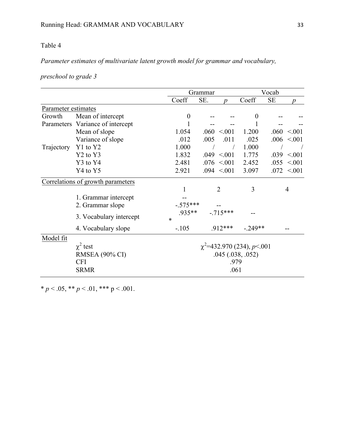## *Parameter estimates of multivariate latent growth model for grammar and vocabulary,*

*preschool to grade 3*

|                                   |                                  |                                 | Grammar                 | Vocab    |           |                  |  |  |  |  |
|-----------------------------------|----------------------------------|---------------------------------|-------------------------|----------|-----------|------------------|--|--|--|--|
|                                   |                                  | Coeff                           | SE.<br>$\boldsymbol{n}$ | Coeff    | <b>SE</b> | n                |  |  |  |  |
| Parameter estimates               |                                  |                                 |                         |          |           |                  |  |  |  |  |
| Growth                            | Mean of intercept                | $\overline{0}$                  |                         | $\theta$ |           |                  |  |  |  |  |
| Parameters                        | Variance of intercept            |                                 |                         |          |           |                  |  |  |  |  |
|                                   | Mean of slope                    | 1.054                           | $.060 \le 0.001$        | 1.200    |           | $.060 \le 0.001$ |  |  |  |  |
|                                   | Variance of slope                | .012                            | .005<br>.011            | .025     |           | .006 < 001       |  |  |  |  |
| Trajectory                        | Y1 to Y2                         | 1.000                           |                         | 1.000    |           |                  |  |  |  |  |
|                                   | Y <sub>2</sub> to Y <sub>3</sub> | 1.832                           | $.049 \le 0.001$        | 1.775    |           | $.039 \le 0.001$ |  |  |  |  |
|                                   | Y3 to Y4                         | 2.481                           | $.076 \le 0.001$        | 2.452    |           | .055 < 001       |  |  |  |  |
|                                   | Y4 to Y5                         | 2.921                           | $.094 \le 0.001$        | 3.097    |           | $.072 \le 0.001$ |  |  |  |  |
| Correlations of growth parameters |                                  |                                 |                         |          |           |                  |  |  |  |  |
|                                   |                                  |                                 | 2                       | 3        |           | 4                |  |  |  |  |
|                                   | 1. Grammar intercept             |                                 |                         |          |           |                  |  |  |  |  |
|                                   | 2. Grammar slope                 | $-.575***$                      |                         |          |           |                  |  |  |  |  |
|                                   | 3. Vocabulary intercept          | 935**<br>$\ast$                 | $-715***$               |          |           |                  |  |  |  |  |
|                                   | 4. Vocabulary slope              | $-.105$                         | $.912***$               | $-249**$ |           |                  |  |  |  |  |
| Model fit                         |                                  |                                 |                         |          |           |                  |  |  |  |  |
|                                   | $\chi^2$ test                    | $\chi^2$ =432.970 (234), p<.001 |                         |          |           |                  |  |  |  |  |
|                                   | <b>RMSEA</b> (90% CI)            |                                 | .045(.038, .052)        |          |           |                  |  |  |  |  |
|                                   | <b>CFI</b>                       |                                 | .979                    |          |           |                  |  |  |  |  |
|                                   | <b>SRMR</b>                      | .061                            |                         |          |           |                  |  |  |  |  |

\*  $p < .05$ , \*\*  $p < .01$ , \*\*\*  $p < .001$ .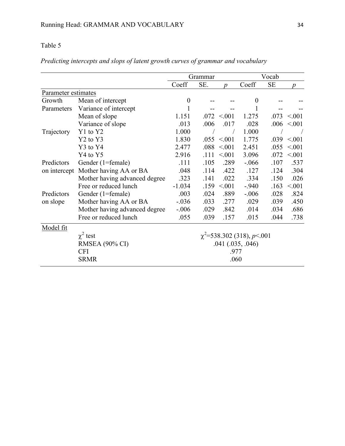|                     |                                  | Grammar                         |      |                  | Vocab            |           |                  |  |
|---------------------|----------------------------------|---------------------------------|------|------------------|------------------|-----------|------------------|--|
|                     |                                  | Coeff                           | SE.  | $\boldsymbol{p}$ | Coeff            | <b>SE</b> | $\boldsymbol{v}$ |  |
| Parameter estimates |                                  |                                 |      |                  |                  |           |                  |  |
| Growth              | Mean of intercept                | $\boldsymbol{0}$                |      |                  | $\boldsymbol{0}$ |           |                  |  |
| Parameters          | Variance of intercept            |                                 |      |                  |                  |           |                  |  |
|                     | Mean of slope                    | 1.151                           | .072 | < 0.01           | 1.275            | .073      | < 0.01           |  |
|                     | Variance of slope                | .013                            | .006 | .017             | .028             | .006      | < 0.01           |  |
| Trajectory          | Y1 to Y2                         | 1.000                           |      |                  | 1.000            |           |                  |  |
|                     | Y <sub>2</sub> to Y <sub>3</sub> | 1.830                           | .055 | < 0.01           | 1.775            | .039      | < 0.01           |  |
|                     | Y3 to Y4                         | 2.477                           | .088 | < 0.01           | 2.451            | .055      | < 0.01           |  |
|                     | Y4 to Y5                         | 2.916                           | .111 | < 0.01           | 3.096            | .072      | < 0.01           |  |
| Predictors          | Gender (1=female)                | .111                            | .105 | .289             | $-0.066$         | .107      | .537             |  |
| on intercept        | Mother having AA or BA           | .048                            | .114 | .422             | .127             | .124      | .304             |  |
|                     | Mother having advanced degree    | .323                            | .141 | .022             | .334             | .150      | .026             |  |
|                     | Free or reduced lunch            | $-1.034$                        | .159 | < 0.01           | $-940$           | .163      | < 001            |  |
| Predictors          | Gender (1=female)                | .003                            | .024 | .889             | $-.006$          | .028      | .824             |  |
| on slope            | Mother having AA or BA           | $-0.036$                        | .033 | .277             | .029             | .039      | .450             |  |
|                     | Mother having advanced degree    | $-.006$                         | .029 | .842             | .014             | .034      | .686             |  |
|                     | Free or reduced lunch            | .055                            | .039 | .157             | .015             | .044      | .738             |  |
| Model fit           |                                  |                                 |      |                  |                  |           |                  |  |
|                     | $\chi^2$ test                    | $\chi^2$ =538.302 (318), p<.001 |      |                  |                  |           |                  |  |
|                     | <b>RMSEA</b> (90% CI)            | $.041$ $(.035, .046)$           |      |                  |                  |           |                  |  |
|                     | <b>CFI</b>                       | .977                            |      |                  |                  |           |                  |  |
|                     | <b>SRMR</b>                      | .060                            |      |                  |                  |           |                  |  |

## *Predicting intercepts and slops of latent growth curves of grammar and vocabulary*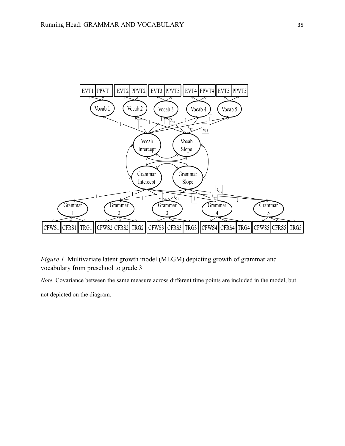

*Figure 1* Multivariate latent growth model (MLGM) depicting growth of grammar and vocabulary from preschool to grade 3

*Note.* Covariance between the same measure across different time points are included in the model, but

not depicted on the diagram.